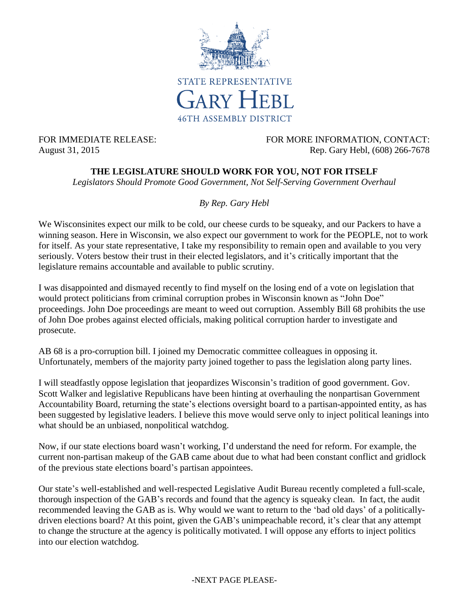

FOR IMMEDIATE RELEASE: FOR MORE INFORMATION, CONTACT: August 31, 2015 Rep. Gary Hebl, (608) 266-7678

## **THE LEGISLATURE SHOULD WORK FOR YOU, NOT FOR ITSELF**

*Legislators Should Promote Good Government, Not Self-Serving Government Overhaul*

## *By Rep. Gary Hebl*

We Wisconsinites expect our milk to be cold, our cheese curds to be squeaky, and our Packers to have a winning season. Here in Wisconsin, we also expect our government to work for the PEOPLE, not to work for itself. As your state representative, I take my responsibility to remain open and available to you very seriously. Voters bestow their trust in their elected legislators, and it's critically important that the legislature remains accountable and available to public scrutiny.

I was disappointed and dismayed recently to find myself on the losing end of a vote on legislation that would protect politicians from criminal corruption probes in Wisconsin known as "John Doe" proceedings. John Doe proceedings are meant to weed out corruption. Assembly Bill 68 prohibits the use of John Doe probes against elected officials, making political corruption harder to investigate and prosecute.

AB 68 is a pro-corruption bill. I joined my Democratic committee colleagues in opposing it. Unfortunately, members of the majority party joined together to pass the legislation along party lines.

I will steadfastly oppose legislation that jeopardizes Wisconsin's tradition of good government. Gov. Scott Walker and legislative Republicans have been hinting at overhauling the nonpartisan Government Accountability Board, returning the state's elections oversight board to a partisan-appointed entity, as has been suggested by legislative leaders. I believe this move would serve only to inject political leanings into what should be an unbiased, nonpolitical watchdog.

Now, if our state elections board wasn't working, I'd understand the need for reform. For example, the current non-partisan makeup of the GAB came about due to what had been constant conflict and gridlock of the previous state elections board's partisan appointees.

Our state's well-established and well-respected Legislative Audit Bureau recently completed a full-scale, thorough inspection of the GAB's records and found that the agency is squeaky clean. In fact, the audit recommended leaving the GAB as is. Why would we want to return to the 'bad old days' of a politicallydriven elections board? At this point, given the GAB's unimpeachable record, it's clear that any attempt to change the structure at the agency is politically motivated. I will oppose any efforts to inject politics into our election watchdog.

## -NEXT PAGE PLEASE-